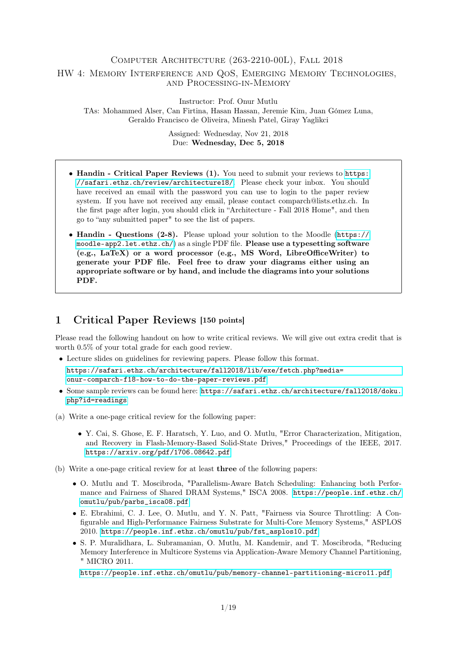### Computer Architecture (263-2210-00L), Fall 2018

#### HW 4: Memory Interference and QoS, Emerging Memory Technologies, and Processing-in-Memory

Instructor: Prof. Onur Mutlu TAs: Mohammed Alser, Can Firtina, Hasan Hassan, Jeremie Kim, Juan Gómez Luna, Geraldo Francisco de Oliveira, Minesh Patel, Giray Yaglikci

> Assigned: Wednesday, Nov 21, 2018 Due: Wednesday, Dec 5, 2018

- Handin Critical Paper Reviews (1). You need to submit your reviews to [https:](https://safari.ethz.ch/review/architecture18/) [//safari.ethz.ch/review/architecture18/](https://safari.ethz.ch/review/architecture18/). Please check your inbox. You should have received an email with the password you can use to login to the paper review system. If you have not received any email, please contact comparch@lists.ethz.ch. In the first page after login, you should click in "Architecture - Fall 2018 Home", and then go to "any submitted paper" to see the list of papers.
- Handin Questions (2-8). Please upload your solution to the Moodle ([https://](https://moodle-app2.let.ethz.ch/) [moodle-app2.let.ethz.ch/](https://moodle-app2.let.ethz.ch/)) as a single PDF file. Please use a typesetting software (e.g., LaTeX) or a word processor (e.g., MS Word, LibreOfficeWriter) to generate your PDF file. Feel free to draw your diagrams either using an appropriate software or by hand, and include the diagrams into your solutions PDF.

## 1 Critical Paper Reviews [150 points]

Please read the following handout on how to write critical reviews. We will give out extra credit that is worth 0.5% of your total grade for each good review.

• Lecture slides on guidelines for reviewing papers. Please follow this format.

```
https://safari.ethz.ch/architecture/fall2018/lib/exe/fetch.php?media=
onur-comparch-f18-how-to-do-the-paper-reviews.pdf
```
- Some sample reviews can be found here: [https://safari.ethz.ch/architecture/fall2018/doku.](https://safari.ethz.ch/architecture/fall2018/doku.php?id=readings) [php?id=readings](https://safari.ethz.ch/architecture/fall2018/doku.php?id=readings)
- (a) Write a one-page critical review for the following paper:
	- Y. Cai, S. Ghose, E. F. Haratsch, Y. Luo, and O. Mutlu, "Error Characterization, Mitigation, and Recovery in Flash-Memory-Based Solid-State Drives," Proceedings of the IEEE, 2017. <https://arxiv.org/pdf/1706.08642.pdf>
- (b) Write a one-page critical review for at least three of the following papers:
	- O. Mutlu and T. Moscibroda, "Parallelism-Aware Batch Scheduling: Enhancing both Performance and Fairness of Shared DRAM Systems," ISCA 2008. [https://people.inf.ethz.ch/](https://people.inf.ethz.ch/omutlu/pub/parbs_isca08.pdf) [omutlu/pub/parbs\\_isca08.pdf](https://people.inf.ethz.ch/omutlu/pub/parbs_isca08.pdf)
	- E. Ebrahimi, C. J. Lee, O. Mutlu, and Y. N. Patt, "Fairness via Source Throttling: A Configurable and High-Performance Fairness Substrate for Multi-Core Memory Systems," ASPLOS 2010. [https://people.inf.ethz.ch/omutlu/pub/fst\\_asplos10.pdf](https://people.inf.ethz.ch/omutlu/pub/fst_asplos10.pdf)
	- S. P. Muralidhara, L. Subramanian, O. Mutlu, M. Kandemir, and T. Moscibroda, "Reducing Memory Interference in Multicore Systems via Application-Aware Memory Channel Partitioning, " MICRO 2011.

<https://people.inf.ethz.ch/omutlu/pub/memory-channel-partitioning-micro11.pdf>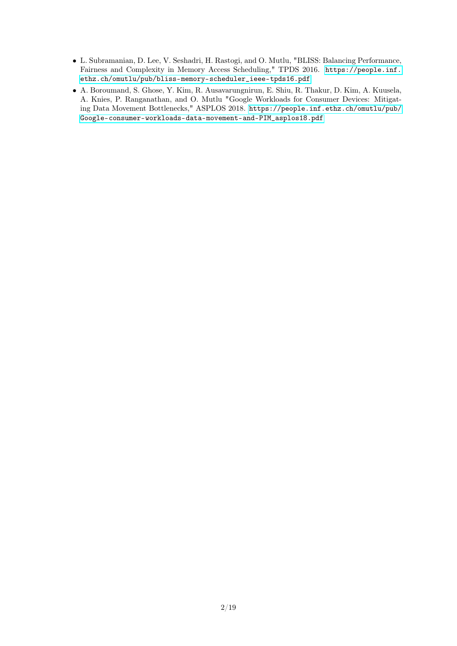- L. Subramanian, D. Lee, V. Seshadri, H. Rastogi, and O. Mutlu, "BLISS: Balancing Performance, Fairness and Complexity in Memory Access Scheduling," TPDS 2016. [https://people.inf.](https://people.inf.ethz.ch/omutlu/pub/bliss-memory-scheduler_ieee-tpds16.pdf) [ethz.ch/omutlu/pub/bliss-memory-scheduler\\_ieee-tpds16.pdf](https://people.inf.ethz.ch/omutlu/pub/bliss-memory-scheduler_ieee-tpds16.pdf)
- A. Boroumand, S. Ghose, Y. Kim, R. Ausavarungnirun, E. Shiu, R. Thakur, D. Kim, A. Kuusela, A. Knies, P. Ranganathan, and O. Mutlu "Google Workloads for Consumer Devices: Mitigating Data Movement Bottlenecks," ASPLOS 2018. [https://people.inf.ethz.ch/omutlu/pub/](https://people.inf.ethz.ch/omutlu/pub/Google-consumer-workloads-data-movement-and-PIM_asplos18.pdf) [Google-consumer-workloads-data-movement-and-PIM\\_asplos18.pdf](https://people.inf.ethz.ch/omutlu/pub/Google-consumer-workloads-data-movement-and-PIM_asplos18.pdf)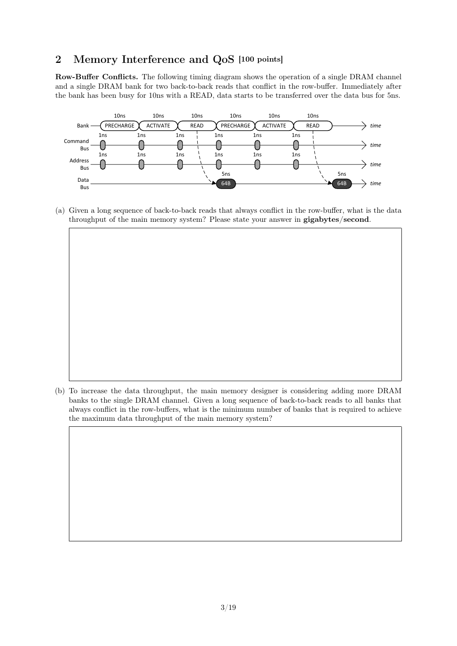# 2 Memory Interference and QoS [100 points]

Row-Buffer Conflicts. The following timing diagram shows the operation of a single DRAM channel and a single DRAM bank for two back-to-back reads that conflict in the row-buffer. Immediately after the bank has been busy for 10ns with a READ, data starts to be transferred over the data bus for 5ns.  $\frac{1}{2}$  $\mathbf{b}$  bank has been busy for 10ns with a READ, data starts to be transferred over the data busy for  $5$ ns.



(a) Given a long sequence of back-to-back reads that always conflict in the row-buffer, what is the data throughput of the main memory system? Please state your answer in gigabytes/second.

(b) To increase the data throughput, the main memory designer is considering adding more DRAM banks to the single DRAM channel. Given a long sequence of back-to-back reads to all banks that always conflict in the row-buffers, what is the minimum number of banks that is required to achieve the maximum data throughput of the main memory system?

(b) To increase the data throughput, the main memory designer is considering adding more DRAM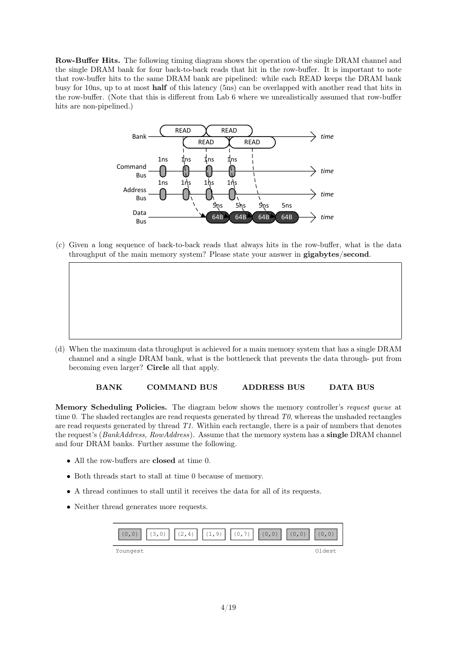Row-Buffer Hits. The following timing diagram shows the operation of the single DRAM channel and the single DRAM bank for four back-to-back reads that hit in the row-buffer. It is important to note that row-buffer hits to the same DRAM bank are pipelined: while each READ keeps the DRAM bank busy for 10ns, up to at most **half** of this latency (5ns) can be overlapped with another read that hits in the row-buffer. (Note that this is different from Lab 6 where we unrealistically assumed that row-buffer **Row-Buffer Hits.** The following timing diagram shows the operation of the single DRAM channel and the single DRAM bank for four back-to-back reads that hit in the row-buffer. It is important to note that row-buffer hits t the row-buffer. (Note that this is different from Lab 6 where we unrealistically assumed that row-buffer hits are non-pipelined.)



(c) Given a long sequence of back-to-back reads that always hits in the row-buffer, what is the data throughput of the main memory system? Please state your answer in  $gigabytes/second$ .

READ

READ

channel and a single DRAM bank, what is the bottleneck that prevents the data through- put from (d) When the maximum data throughput is achieved for a main memory system that has a single DRAM becoming even larger? Circle all that apply.

(c) Given a long sequence of back-to-back-to-back-to-back-to-back-to-back reads that always hits in the data is the data is the data is the data is the data is the data is the data is the data is the data is the data is t

(d) When the maximum data throughput is achieved for a main memory system that has a single DRAM channel and a single DRAM bank, what is the bottleneck that prevents the data through-

### BANK COMMAND BUS ADDRESS BUS DATA BUS

Memory Scheduling Policies. The diagram below shows the memory controller's request queue at time 0. The shaded rectangles are read requests generated by thread  $T\theta$ , whereas the unshaded rectangles are read requests generated by thread  $T1$ . Within each rectangle, there is a pair of numbers that denotes and four DRAM banks. Further assume the following. the request's (*BankAddress, RowAddress*). Assume that the memory system has a **single** DRAM channel  $\overline{a}$ 

- $\bullet$  All the row-buffers are closed at time 0. that denote the requestion of  $B$  and  $B$  and  $B$  in memory system has a single memory system has a single memory system has a single memory system has a single memory system has a single memory system has a single memory
- $\bullet$  Both threads start to stall at time 0 because of memory. • All the row-buffers are closed at time 0.

put from becoming even larger? Circle all that apply.

- $\bullet$  A thread continues to stall until it receives the data for all of its requests.
	- Neither thread generates more requests. • Neither thread generates more requests.

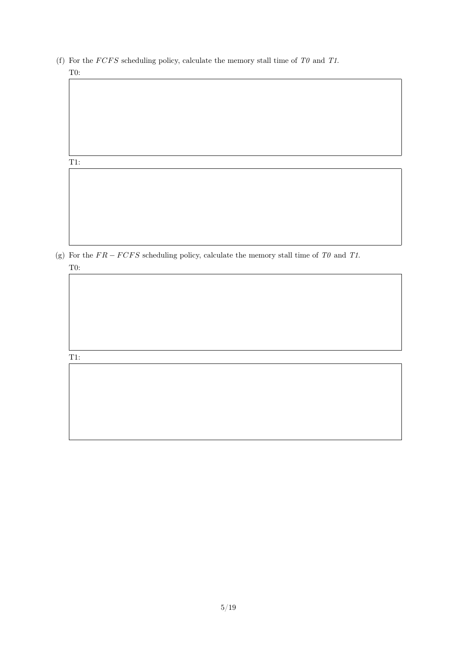(f) For the  $FCFS$  scheduling policy, calculate the memory stall time of  $T0$  and  $T1$ . T0:

#### T1:

(g) For the  $FR - FCFS$  scheduling policy, calculate the memory stall time of TO and T1. T0:

#### T1: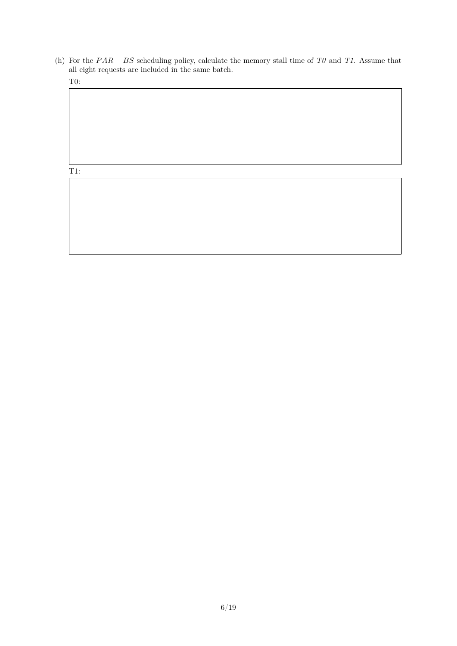(h) For the  $PAR - BS$  scheduling policy, calculate the memory stall time of T0 and T1. Assume that all eight requests are included in the same batch.

T0:

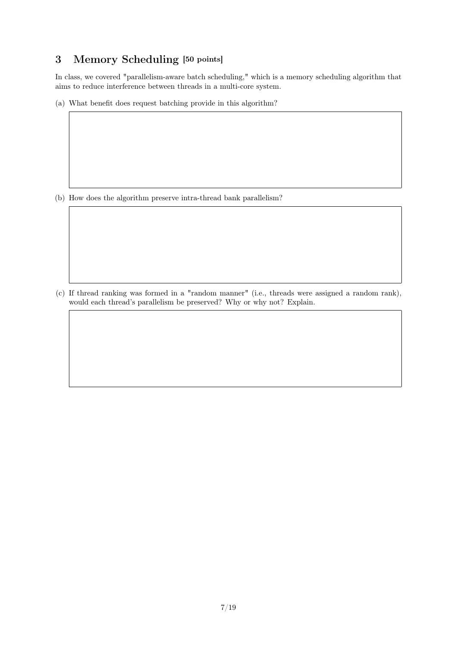# 3 Memory Scheduling [50 points]

In class, we covered "parallelism-aware batch scheduling," which is a memory scheduling algorithm that aims to reduce interference between threads in a multi-core system.

(a) What benefit does request batching provide in this algorithm?

(b) How does the algorithm preserve intra-thread bank parallelism?

(c) If thread ranking was formed in a "random manner" (i.e., threads were assigned a random rank), would each thread's parallelism be preserved? Why or why not? Explain.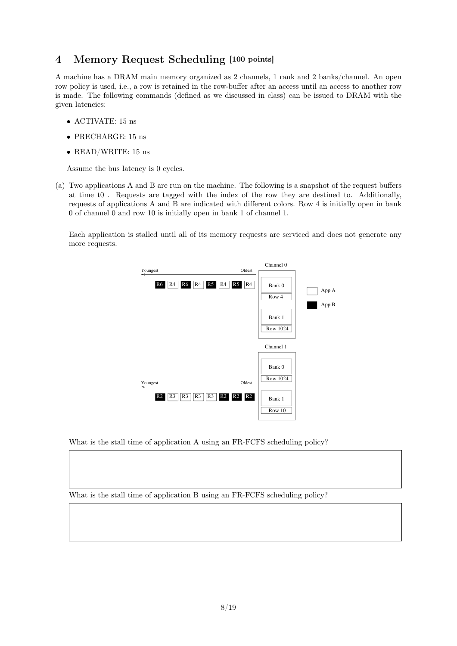# 4 Memory Request Scheduling [100 points]

A machine has a DRAM main memory organized as 2 channels, 1 rank and 2 banks/channel. An open row policy is used, i.e., a row is retained in the row-buffer after an access until an access to another row is made. The following commands (defined as we discussed in class) can be issued to DRAM with the given latencies: given latencies:

- ACTIVATE: 15  $\text{ns}$
- $\bullet$  PRECHARGE: 15 ns
- READ/WRITE: 15 ns ACTIVATE 15 ns

Assume the bus latency is 0 cycles. READ/WRITE 15 ns

(a) Two applications  $A$  and  $B$  are run on the machine. The following is a snapshot of the request buffers at time t0 . Requests are tagged with the index of the row they are destined to. Additionally, requests of applications A and B are indicated with different colors. Row 4 is initially open in bank  $\alpha$  of channel  $\alpha$  and row  $\alpha$  is initially open in bank  $\alpha$  of channel  $\alpha$ .

Each application is stalled until all of its memory requests are serviced and does not generate any more requests.  $E<sub>2</sub>$  applies is stalled until all of its memory requests are serviced and does not generate any more generate any more service and does not generate any more generate any more generate any more generate any more gen



What is the stall time of application A using an FR-FCFS scheduling policy?

What is the stall time of application B using an FR-FCFS scheduling policy? What is the stall time of application B using an FR-FCFS scheduling policy?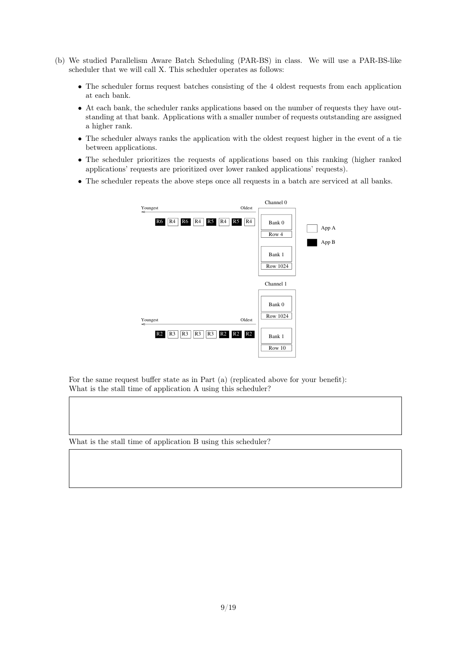- (b) We studied Parallelism Aware Batch Scheduling (PAR-BS) in class. We will use a PAR-BS-like  $\frac{1}{2}$  is used, i.e., a row-buffer after a row-buffer and  $\frac{1}{2}$  (1110  $\frac{1}{2}$ ) is retained in the row-buffer after an access to another row-buffer after and access to another row is made.  $T_{\text{max}}$  we will can  $\Lambda$ . This selectric operates as follows.
	- The scheduler forms request batches consisting of the 4 oldest requests from each application at each bank.
	- At each bank, the scheduler ranks applications based on the number of requests they have outstanding at that bank. Applications with a smaller number of requests outstanding are assigned a higher rank.
	- The scheduler always ranks the application with the oldest request higher in the event of a tie between applications.  $t_{\rm cell}$  applications.
	- The scheduler prioritizes the requests of applications based on this ranking (higher ranked applications' requests are prioritized over lower ranked applications' requests).
	- $\bullet$  The scheduler repeats the above steps once all requests in a batch are serviced at all banks.



For the same request buffer state as in Part (a) (replicated above for your benefit): What is the stall time of application A using this scheduler?

What is the stall time of application B using this scheduler?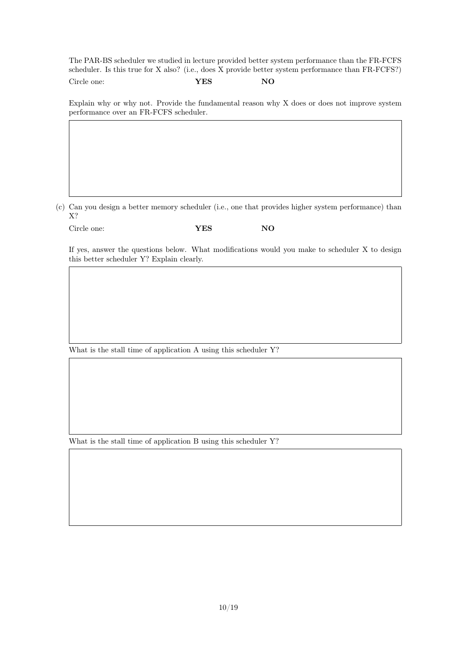The PAR-BS scheduler we studied in lecture provided better system performance than the FR-FCFS scheduler. Is this true for X also? (i.e., does X provide better system performance than FR-FCFS?) Circle one: **YES** NO

Explain why or why not. Provide the fundamental reason why X does or does not improve system performance over an FR-FCFS scheduler.

(c) Can you design a better memory scheduler (i.e., one that provides higher system performance) than X?

| Circle one: | ${\bf YES}$ | NO. |
|-------------|-------------|-----|
|             |             |     |

If yes, answer the questions below. What modifications would you make to scheduler X to design this better scheduler Y? Explain clearly.

What is the stall time of application A using this scheduler Y?

What is the stall time of application B using this scheduler Y?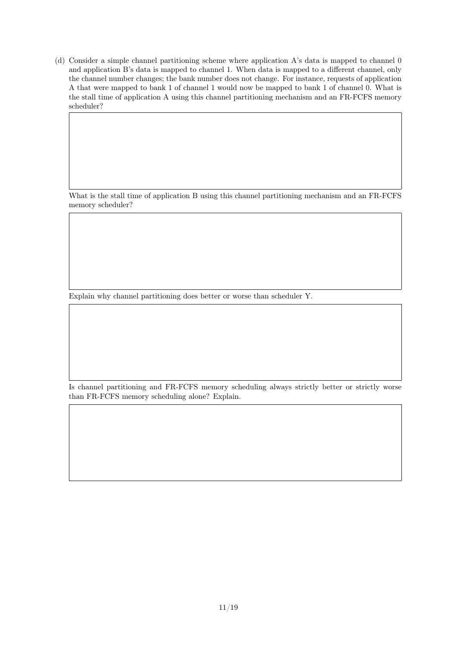(d) Consider a simple channel partitioning scheme where application A's data is mapped to channel 0 and application B's data is mapped to channel 1. When data is mapped to a different channel, only the channel number changes; the bank number does not change. For instance, requests of application A that were mapped to bank 1 of channel 1 would now be mapped to bank 1 of channel 0. What is the stall time of application A using this channel partitioning mechanism and an FR-FCFS memory scheduler?

What is the stall time of application B using this channel partitioning mechanism and an FR-FCFS memory scheduler?

Explain why channel partitioning does better or worse than scheduler Y.

Is channel partitioning and FR-FCFS memory scheduling always strictly better or strictly worse than FR-FCFS memory scheduling alone? Explain.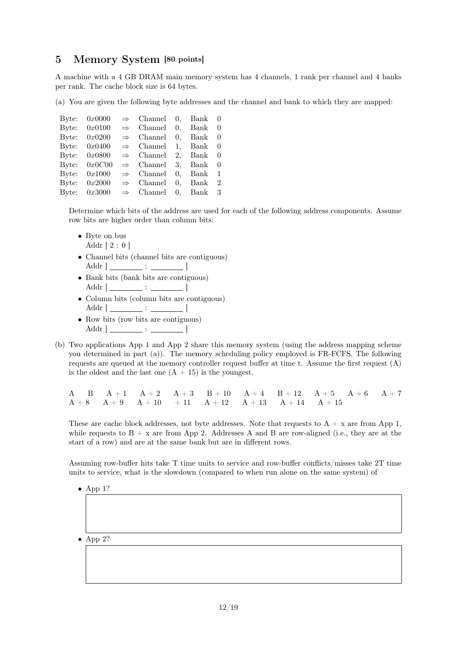## 5 Memory System [80 points]

A machine with a 4 GB DRAM main memory system has 4 channels, 1 rank per channel and 4 banks per rank. The cache block size is 64 bytes.

(a) You are given the following byte addresses and the channel and bank to which they are mapped:

| Byte: | 0x0000         | $\Rightarrow$ Channel 0, Bank 0 |               |                |
|-------|----------------|---------------------------------|---------------|----------------|
|       | Byte: $0x0100$ | $\Rightarrow$ Channel 0, Bank 0 |               |                |
| Byte: | 0x0200         | $\Rightarrow$ Channel           | $0.$ Bank $0$ |                |
|       | Byte: $0x0400$ | $\Rightarrow$ Channel 1, Bank 0 |               |                |
| Byte: | 0x0800         | $\Rightarrow$ Channel 2, Bank 0 |               |                |
|       | Byte: $0x0C00$ | $\Rightarrow$ Channel 3, Bank 0 |               |                |
| Byte: | 0x1000         | $\Rightarrow$ Channel           | $0.$ Bank 1   |                |
|       | Byte: $0x2000$ | $\Rightarrow$ Channel           | $0.$ Bank     | $\overline{2}$ |
|       | Byte: $0x3000$ | $\Rightarrow$ Channel 0, Bank 3 |               |                |

Determine which bits of the address are used for each of the following address components. Assume row bits are higher order than column bits:

- Byte on bus Addr  $[2:0]$
- Channel bits (channel bits are contiguous)  $\text{Addr}$   $\begin{bmatrix} \cdots & \cdots & \cdots & \cdots \end{bmatrix}$
- Bank bits (bank bits are contiguous) Addr  $[$   $\qquad \qquad$  :  $\qquad \qquad$  |
- Column bits (column bits are contiguous) Addr  $[$   $\qquad \qquad$  :  $\qquad \qquad$  |
- Row bits (row bits are contiguous) Addr  $[$   $\frac{1}{2}$  :  $\frac{1}{2}$   $\frac{1}{2}$
- (b) Two applications App 1 and App 2 share this memory system (using the address mapping scheme you determined in part (a)). The memory scheduling policy employed is FR-FCFS. The following requests are queued at the memory controller request buffer at time t. Assume the first request (A) is the oldest and the last one  $(A + 15)$  is the youngest.

|  |  | $\rm{A} \quad \rm{B} \quad \rm{A+1} \quad \rm{A+2} \quad \rm{A+3} \quad \rm{B+10} \quad \rm{A+4} \quad \rm{B+12} \quad \rm{A+5} \quad \rm{A+6} \quad \rm{A+7}$ |  |  |  |
|--|--|----------------------------------------------------------------------------------------------------------------------------------------------------------------|--|--|--|
|  |  | $A + 8$ $A + 9$ $A + 10$ $+ 11$ $A + 12$ $A + 13$ $A + 14$ $A + 15$                                                                                            |  |  |  |

These are cache block addresses, not byte addresses. Note that requests to  $A + x$  are from App 1, while requests to  $B + x$  are from App 2. Addresses A and B are row-aligned (i.e., they are at the start of a row) and are at the same bank but are in different rows.

Assuming row-buffer hits take T time units to service and row-buffer conflicts/misses take 2T time units to service, what is the slowdown (compared to when run alone on the same system) of

- App  $1$ ?
- App 2?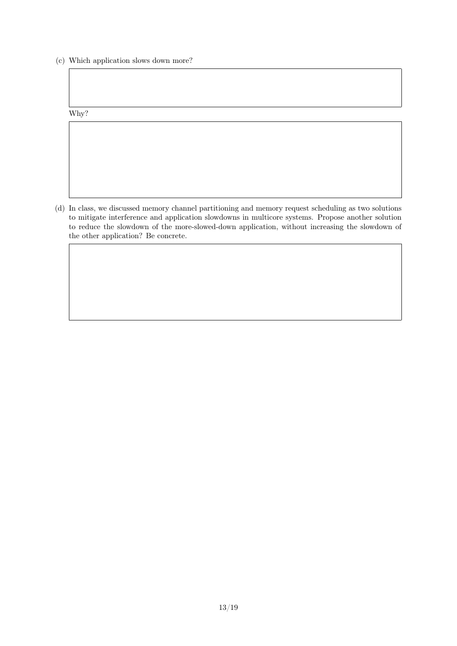(c) Which application slows down more?

Why?

(d) In class, we discussed memory channel partitioning and memory request scheduling as two solutions to mitigate interference and application slowdowns in multicore systems. Propose another solution to reduce the slowdown of the more-slowed-down application, without increasing the slowdown of the other application? Be concrete.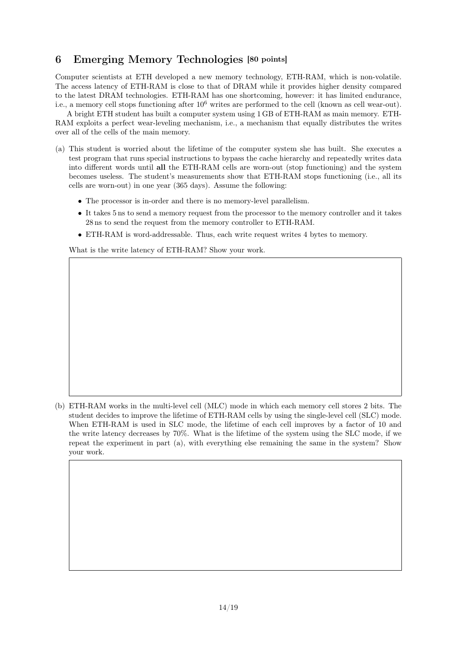# 6 Emerging Memory Technologies [80 points]

Computer scientists at ETH developed a new memory technology, ETH-RAM, which is non-volatile. The access latency of ETH-RAM is close to that of DRAM while it provides higher density compared to the latest DRAM technologies. ETH-RAM has one shortcoming, however: it has limited endurance, i.e., a memory cell stops functioning after  $10^6$  writes are performed to the cell (known as cell wear-out).

A bright ETH student has built a computer system using 1 GB of ETH-RAM as main memory. ETH-RAM exploits a perfect wear-leveling mechanism, i.e., a mechanism that equally distributes the writes over all of the cells of the main memory.

- (a) This student is worried about the lifetime of the computer system she has built. She executes a test program that runs special instructions to bypass the cache hierarchy and repeatedly writes data into different words until all the ETH-RAM cells are worn-out (stop functioning) and the system becomes useless. The student's measurements show that ETH-RAM stops functioning (i.e., all its cells are worn-out) in one year (365 days). Assume the following:
	- The processor is in-order and there is no memory-level parallelism.
	- It takes 5 ns to send a memory request from the processor to the memory controller and it takes 28 ns to send the request from the memory controller to ETH-RAM.
	- ETH-RAM is word-addressable. Thus, each write request writes 4 bytes to memory.

What is the write latency of ETH-RAM? Show your work.

<sup>(</sup>b) ETH-RAM works in the multi-level cell (MLC) mode in which each memory cell stores 2 bits. The student decides to improve the lifetime of ETH-RAM cells by using the single-level cell (SLC) mode. When ETH-RAM is used in SLC mode, the lifetime of each cell improves by a factor of 10 and the write latency decreases by 70%. What is the lifetime of the system using the SLC mode, if we repeat the experiment in part (a), with everything else remaining the same in the system? Show your work.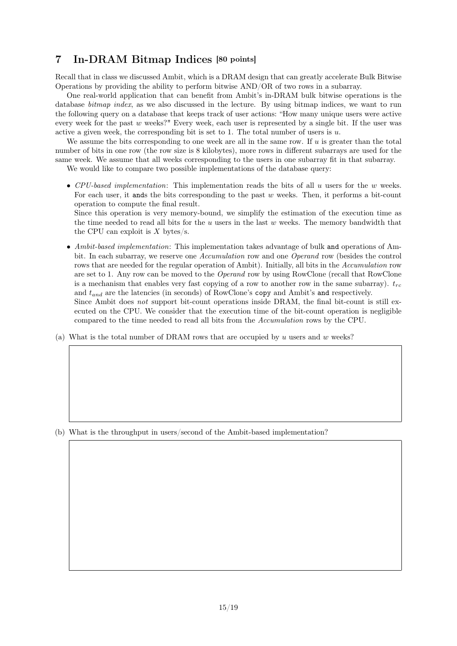# 7 In-DRAM Bitmap Indices [80 points]

Recall that in class we discussed Ambit, which is a DRAM design that can greatly accelerate Bulk Bitwise Operations by providing the ability to perform bitwise AND/OR of two rows in a subarray.

One real-world application that can benefit from Ambit's in-DRAM bulk bitwise operations is the database *bitmap index*, as we also discussed in the lecture. By using bitmap indices, we want to run the following query on a database that keeps track of user actions: "How many unique users were active every week for the past  $w$  weeks?" Every week, each user is represented by a single bit. If the user was active a given week, the corresponding bit is set to 1. The total number of users is  $u$ .

We assume the bits corresponding to one week are all in the same row. If  $u$  is greater than the total number of bits in one row (the row size is 8 kilobytes), more rows in different subarrays are used for the same week. We assume that all weeks corresponding to the users in one subarray fit in that subarray.

We would like to compare two possible implementations of the database query:

• CPU-based implementation: This implementation reads the bits of all  $u$  users for the  $w$  weeks. For each user, it ands the bits corresponding to the past  $w$  weeks. Then, it performs a bit-count operation to compute the final result.

Since this operation is very memory-bound, we simplify the estimation of the execution time as the time needed to read all bits for the  $u$  users in the last  $w$  weeks. The memory bandwidth that the CPU can exploit is  $X$  bytes/s.

• Ambit-based implementation: This implementation takes advantage of bulk and operations of Ambit. In each subarray, we reserve one Accumulation row and one Operand row (besides the control rows that are needed for the regular operation of Ambit). Initially, all bits in the Accumulation row are set to 1. Any row can be moved to the Operand row by using RowClone (recall that RowClone is a mechanism that enables very fast copying of a row to another row in the same subarray).  $t_{rc}$ and  $t_{and}$  are the latencies (in seconds) of RowClone's copy and Ambit's and respectively. Since Ambit does not support bit-count operations inside DRAM, the final bit-count is still ex-

ecuted on the CPU. We consider that the execution time of the bit-count operation is negligible compared to the time needed to read all bits from the Accumulation rows by the CPU.

(a) What is the total number of DRAM rows that are occupied by u users and w weeks?

(b) What is the throughput in users/second of the Ambit-based implementation?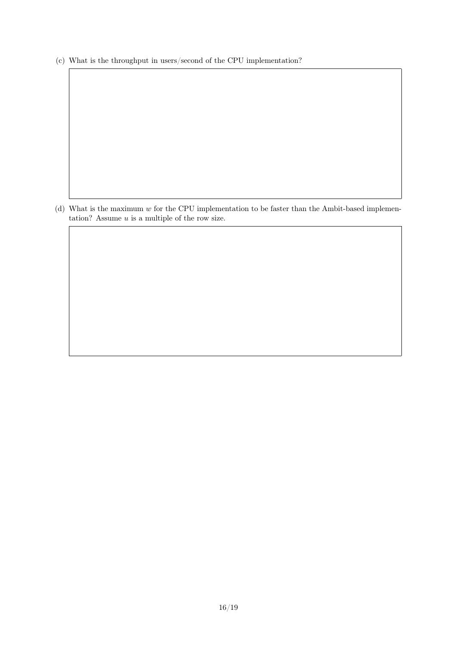(c) What is the throughput in users/second of the CPU implementation?

(d) What is the maximum  $w$  for the CPU implementation to be faster than the Ambit-based implementation? Assume  $u$  is a multiple of the row size.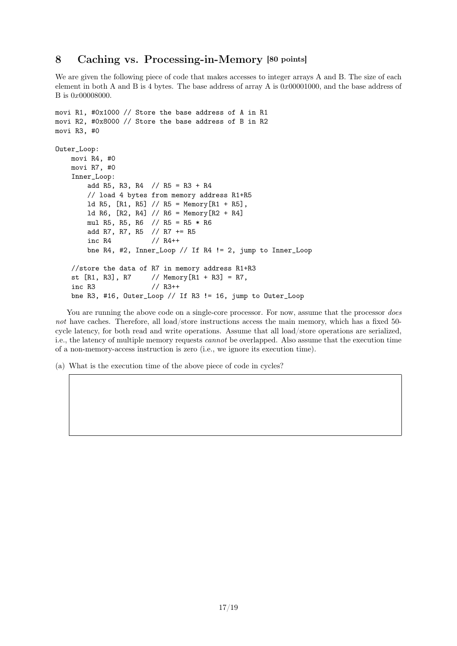### 8 Caching vs. Processing-in-Memory [80 points]

We are given the following piece of code that makes accesses to integer arrays A and B. The size of each element in both A and B is 4 bytes. The base address of array A is  $0x00001000$ , and the base address of B is 0x00008000.

```
movi R1, #0x1000 // Store the base address of A in R1
movi R2, #0x8000 // Store the base address of B in R2
movi R3, #0
Outer_Loop:
   movi R4, #0
   movi R7, #0
    Inner_Loop:
       add R5, R3, R4 // R5 = R3 + R4
       // load 4 bytes from memory address R1+R5
       ld R5, [R1, R5] // R5 = Memory[R1 + R5],
       ld R6, [R2, R4] // R6 = Memory[R2 + R4]
       mul R5, R5, R6 // R5 = R5 * R6
       add R7, R7, R5 // R7 += R5
       inc R4 // R4++
       bne R4, #2, Inner_Loop // If R4 != 2, jump to Inner_Loop
   //store the data of R7 in memory address R1+R3
   st [R1, R3], R7 // Memory[R1 + R3] = R7,
    inc R3 // R3++
   bne R3, #16, Outer_Loop // If R3 != 16, jump to Outer_Loop
```
You are running the above code on a single-core processor. For now, assume that the processor *does* not have caches. Therefore, all load/store instructions access the main memory, which has a fixed 50cycle latency, for both read and write operations. Assume that all load/store operations are serialized, i.e., the latency of multiple memory requests cannot be overlapped. Also assume that the execution time of a non-memory-access instruction is zero (i.e., we ignore its execution time).

(a) What is the execution time of the above piece of code in cycles?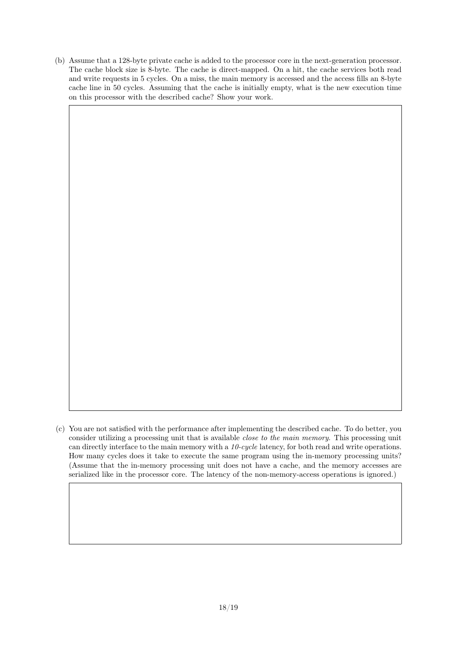(b) Assume that a 128-byte private cache is added to the processor core in the next-generation processor. The cache block size is 8-byte. The cache is direct-mapped. On a hit, the cache services both read and write requests in 5 cycles. On a miss, the main memory is accessed and the access fills an 8-byte cache line in 50 cycles. Assuming that the cache is initially empty, what is the new execution time on this processor with the described cache? Show your work.

(c) You are not satisfied with the performance after implementing the described cache. To do better, you consider utilizing a processing unit that is available close to the main memory. This processing unit can directly interface to the main memory with a 10-cycle latency, for both read and write operations. How many cycles does it take to execute the same program using the in-memory processing units? (Assume that the in-memory processing unit does not have a cache, and the memory accesses are serialized like in the processor core. The latency of the non-memory-access operations is ignored.)